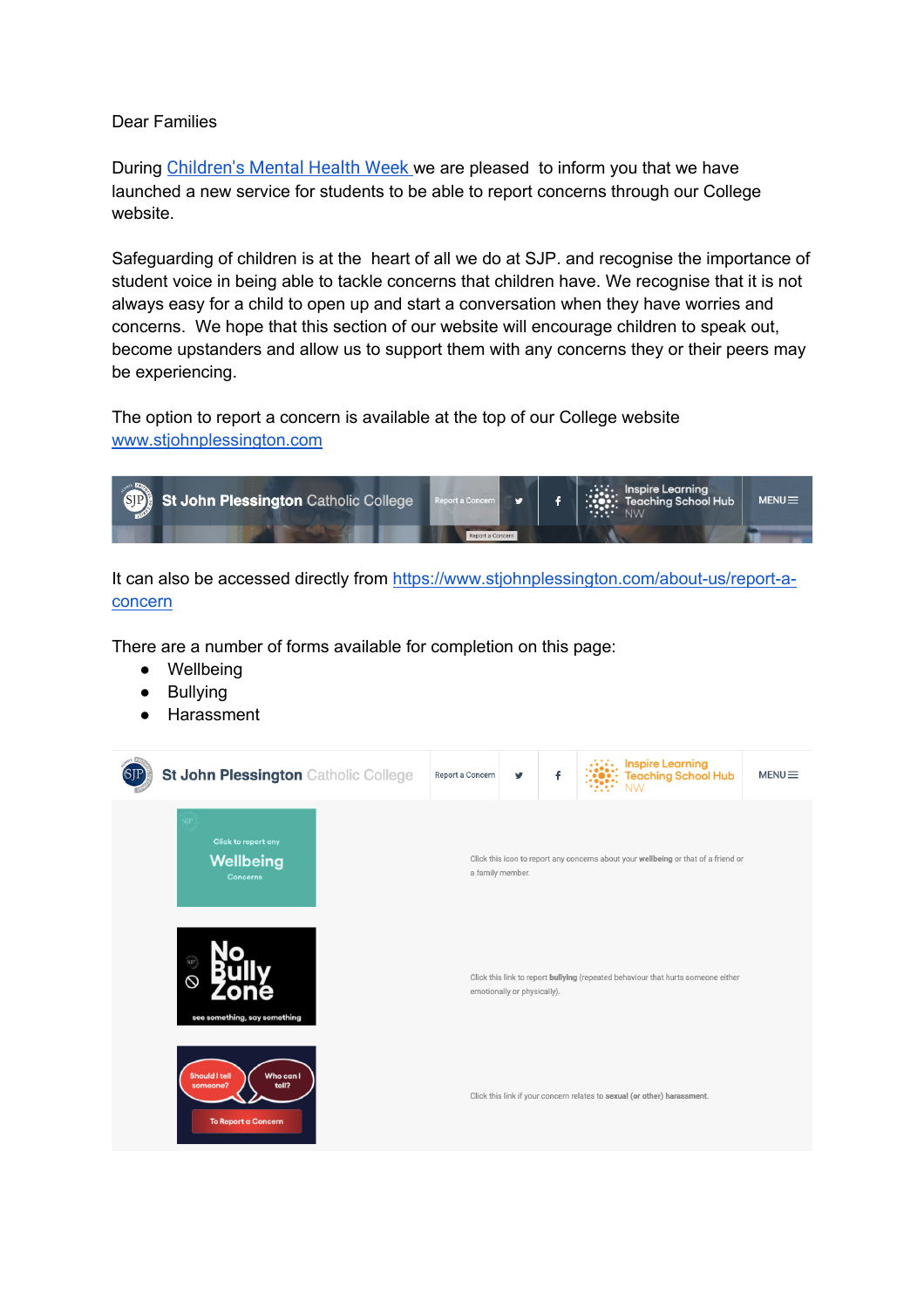## Dear Families

During Children's Mental Health Week we are pleased to inform you that we have launched a new service for students to be able to report concerns through our College website.

Safeguarding of children is at the heart of all we do at SJP. and recognise the importance of student voice in being able to tackle concerns that children have. We recognise that it is not always easy for a child to open up and start a conversation when they have worries and concerns. We hope that this section of our website will encourage children to speak out, become upstanders and allow us to support them with any concerns they or their peers may be experiencing.

The option to report a concern is available at the top of our College website www.stjohnplessington.com



It can also be accessed directly from https://www.stjohnplessington.com/about-us/report-aconcern

There are a number of forms available for completion on this page:

- Wellbeing
- Bullying
- **Harassment**